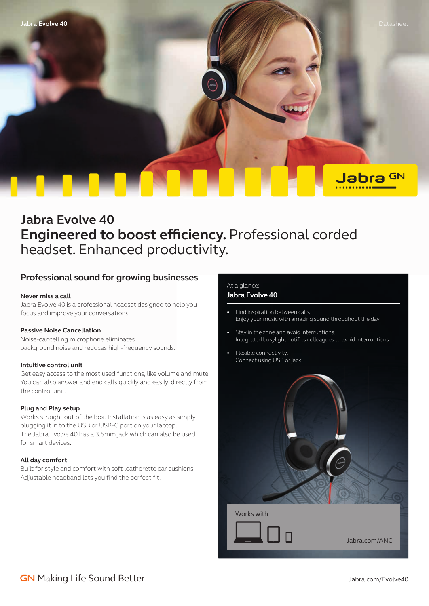

# **Jabra Evolve 40 Engineered to boost efficiency.** Professional corded headset. Enhanced productivity.

## **Professional sound for growing businesses**

#### **Never miss a call**

Jabra Evolve 40 is a professional headset designed to help you focus and improve your conversations.

#### **Passive Noise Cancellation**

Noise-cancelling microphone eliminates background noise and reduces high-frequency sounds.

#### **Intuitive control unit**

Get easy access to the most used functions, like volume and mute. You can also answer and end calls quickly and easily, directly from the control unit.

#### **Plug and Play setup**

Works straight out of the box. Installation is as easy as simply plugging it in to the USB or USB-C port on your laptop. The Jabra Evolve 40 has a 3.5mm jack which can also be used for smart devices.

#### **All day comfort**

Built for style and comfort with soft leatherette ear cushions. Adjustable headband lets you find the perfect fit.

### At a glance:

#### **Jabra Evolve 40**

- Find inspiration between calls. Enjoy your music with amazing sound throughout the day
- Stay in the zone and avoid interruptions. Integrated busylight notifies colleagues to avoid interruptions
- Flexible connectivity. Connect using USB or jack